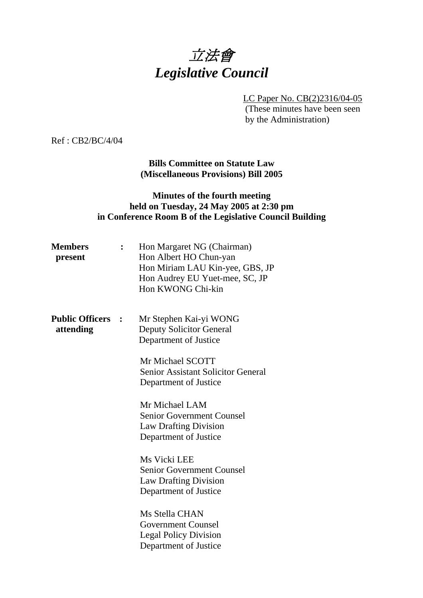# 立法會 *Legislative Council*

LC Paper No. CB(2)2316/04-05

 (These minutes have been seen by the Administration)

Ref : CB2/BC/4/04

**Bills Committee on Statute Law (Miscellaneous Provisions) Bill 2005** 

### **Minutes of the fourth meeting held on Tuesday, 24 May 2005 at 2:30 pm in Conference Room B of the Legislative Council Building**

| <b>Members</b><br>present           | Hon Margaret NG (Chairman)<br>Hon Albert HO Chun-yan<br>Hon Miriam LAU Kin-yee, GBS, JP<br>Hon Audrey EU Yuet-mee, SC, JP<br>Hon KWONG Chi-kin                        |
|-------------------------------------|-----------------------------------------------------------------------------------------------------------------------------------------------------------------------|
| <b>Public Officers</b><br>attending | Mr Stephen Kai-yi WONG<br><b>Deputy Solicitor General</b><br>Department of Justice<br>Mr Michael SCOTT<br>Senior Assistant Solicitor General<br>Department of Justice |
|                                     | Mr Michael LAM<br><b>Senior Government Counsel</b><br><b>Law Drafting Division</b><br>Department of Justice                                                           |
|                                     | Ms Vicki LEE<br><b>Senior Government Counsel</b><br><b>Law Drafting Division</b><br>Department of Justice                                                             |
|                                     | Ms Stella CHAN<br><b>Government Counsel</b><br><b>Legal Policy Division</b><br>Department of Justice                                                                  |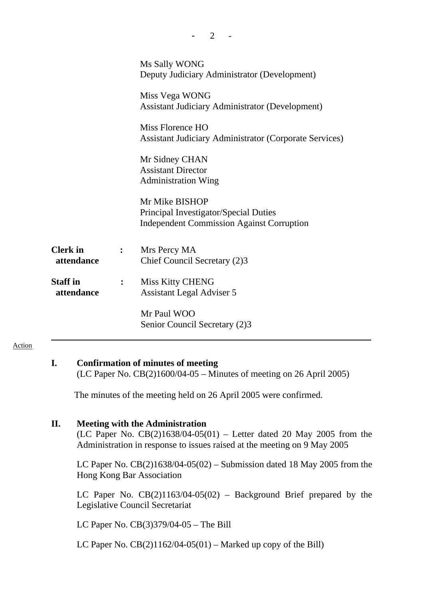|                               |                | Ms Sally WONG<br>Deputy Judiciary Administrator (Development)<br>Miss Vega WONG<br><b>Assistant Judiciary Administrator (Development)</b><br>Miss Florence HO<br><b>Assistant Judiciary Administrator (Corporate Services)</b><br>Mr Sidney CHAN<br><b>Assistant Director</b><br><b>Administration Wing</b><br>Mr Mike BISHOP<br>Principal Investigator/Special Duties<br><b>Independent Commission Against Corruption</b> |
|-------------------------------|----------------|----------------------------------------------------------------------------------------------------------------------------------------------------------------------------------------------------------------------------------------------------------------------------------------------------------------------------------------------------------------------------------------------------------------------------|
| <b>Clerk</b> in<br>attendance | $\mathbf{L}$   | Mrs Percy MA<br>Chief Council Secretary (2)3                                                                                                                                                                                                                                                                                                                                                                               |
| <b>Staff</b> in<br>attendance | $\ddot{\cdot}$ | <b>Miss Kitty CHENG</b><br>Assistant Legal Adviser 5                                                                                                                                                                                                                                                                                                                                                                       |
|                               |                | Mr Paul WOO<br>Senior Council Secretary (2)3                                                                                                                                                                                                                                                                                                                                                                               |

 $2 -$ 

#### Action

#### **I. Confirmation of minutes of meeting**

(LC Paper No. CB(2)1600/04-05 – Minutes of meeting on 26 April 2005)

The minutes of the meeting held on 26 April 2005 were confirmed.

#### **II. Meeting with the Administration**

(LC Paper No.  $CB(2)1638/04-05(01)$  – Letter dated 20 May 2005 from the Administration in response to issues raised at the meeting on 9 May 2005

LC Paper No.  $CB(2)1638/04-05(02)$  – Submission dated 18 May 2005 from the Hong Kong Bar Association

LC Paper No.  $CB(2)1163/04-05(02)$  – Background Brief prepared by the Legislative Council Secretariat

LC Paper No. CB(3)379/04-05 – The Bill

LC Paper No.  $CB(2)1162/04-05(01)$  – Marked up copy of the Bill)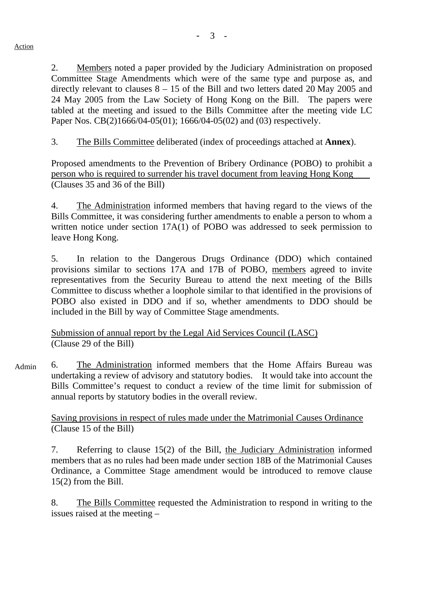2. Members noted a paper provided by the Judiciary Administration on proposed Committee Stage Amendments which were of the same type and purpose as, and directly relevant to clauses 8 – 15 of the Bill and two letters dated 20 May 2005 and 24 May 2005 from the Law Society of Hong Kong on the Bill. The papers were tabled at the meeting and issued to the Bills Committee after the meeting vide LC Paper Nos. CB(2)1666/04-05(01); 1666/04-05(02) and (03) respectively.

3. The Bills Committee deliberated (index of proceedings attached at **Annex**).

Proposed amendments to the Prevention of Bribery Ordinance (POBO) to prohibit a person who is required to surrender his travel document from leaving Hong Kong (Clauses 35 and 36 of the Bill)

4. The Administration informed members that having regard to the views of the Bills Committee, it was considering further amendments to enable a person to whom a written notice under section 17A(1) of POBO was addressed to seek permission to leave Hong Kong.

5. In relation to the Dangerous Drugs Ordinance (DDO) which contained provisions similar to sections 17A and 17B of POBO, members agreed to invite representatives from the Security Bureau to attend the next meeting of the Bills Committee to discuss whether a loophole similar to that identified in the provisions of POBO also existed in DDO and if so, whether amendments to DDO should be included in the Bill by way of Committee Stage amendments.

Submission of annual report by the Legal Aid Services Council (LASC) (Clause 29 of the Bill)

6. The Administration informed members that the Home Affairs Bureau was undertaking a review of advisory and statutory bodies. It would take into account the Bills Committee's request to conduct a review of the time limit for submission of annual reports by statutory bodies in the overall review. Admin

> Saving provisions in respect of rules made under the Matrimonial Causes Ordinance (Clause 15 of the Bill)

7. Referring to clause 15(2) of the Bill, the Judiciary Administration informed members that as no rules had been made under section 18B of the Matrimonial Causes Ordinance, a Committee Stage amendment would be introduced to remove clause 15(2) from the Bill.

8. The Bills Committee requested the Administration to respond in writing to the issues raised at the meeting –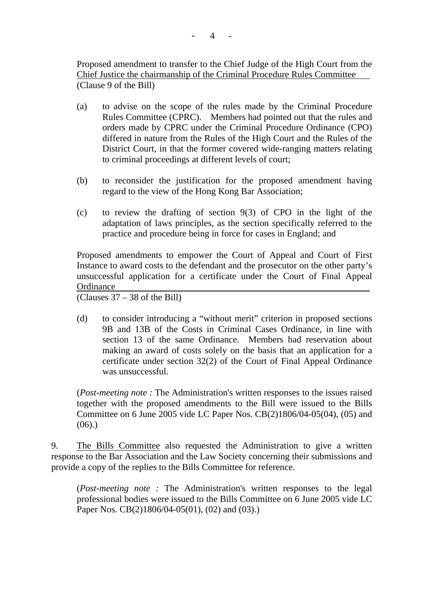Proposed amendment to transfer to the Chief Judge of the High Court from the Chief Justice the chairmanship of the Criminal Procedure Rules Committee (Clause 9 of the Bill)

- (a) to advise on the scope of the rules made by the Criminal Procedure Rules Committee (CPRC). Members had pointed out that the rules and orders made by CPRC under the Criminal Procedure Ordinance (CPO) differed in nature from the Rules of the High Court and the Rules of the District Court, in that the former covered wide-ranging matters relating to criminal proceedings at different levels of court;
- (b) to reconsider the justification for the proposed amendment having regard to the view of the Hong Kong Bar Association;
- (c) to review the drafting of section 9(3) of CPO in the light of the adaptation of laws principles, as the section specifically referred to the practice and procedure being in force for cases in England; and

 Proposed amendments to empower the Court of Appeal and Court of First Instance to award costs to the defendant and the prosecutor on the other party's unsuccessful application for a certificate under the Court of Final Appeal **Ordinance** 

(Clauses 37 – 38 of the Bill)

(d) to consider introducing a "without merit" criterion in proposed sections 9B and 13B of the Costs in Criminal Cases Ordinance, in line with section 13 of the same Ordinance. Members had reservation about making an award of costs solely on the basis that an application for a certificate under section 32(2) of the Court of Final Appeal Ordinance was unsuccessful.

(*Post-meeting note :* The Administration's written responses to the issues raised together with the proposed amendments to the Bill were issued to the Bills Committee on 6 June 2005 vide LC Paper Nos. CB(2)1806/04-05(04), (05) and  $(06)$ .)

9. The Bills Committee also requested the Administration to give a written response to the Bar Association and the Law Society concerning their submissions and provide a copy of the replies to the Bills Committee for reference.

(*Post-meeting note :* The Administration's written responses to the legal professional bodies were issued to the Bills Committee on 6 June 2005 vide LC Paper Nos. CB(2)1806/04-05(01), (02) and (03).)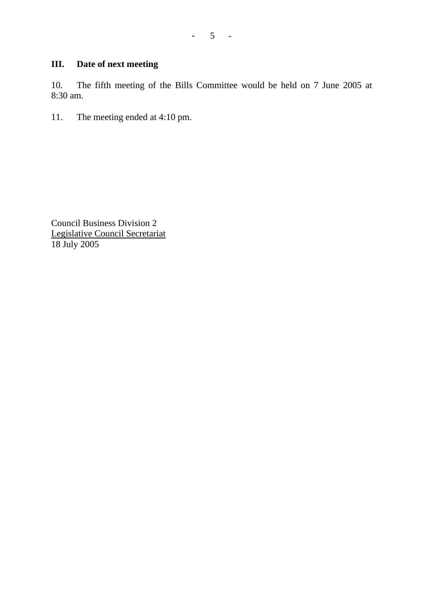## **III. Date of next meeting**

10. The fifth meeting of the Bills Committee would be held on 7 June 2005 at 8:30 am.

11. The meeting ended at 4:10 pm.

Council Business Division 2 Legislative Council Secretariat 18 July 2005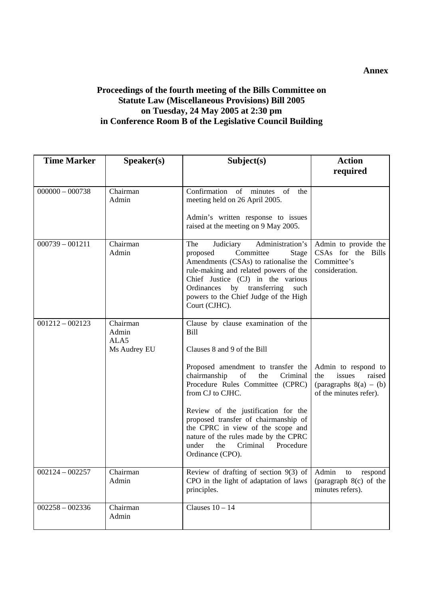#### **Proceedings of the fourth meeting of the Bills Committee on Statute Law (Miscellaneous Provisions) Bill 2005 on Tuesday, 24 May 2005 at 2:30 pm in Conference Room B of the Legislative Council Building**

| <b>Time Marker</b> | Speaker(s)                                | Subject(s)                                                                                                                                                                                                                                                                                                                                                                                                                                 | <b>Action</b>                                                                                        |
|--------------------|-------------------------------------------|--------------------------------------------------------------------------------------------------------------------------------------------------------------------------------------------------------------------------------------------------------------------------------------------------------------------------------------------------------------------------------------------------------------------------------------------|------------------------------------------------------------------------------------------------------|
|                    |                                           |                                                                                                                                                                                                                                                                                                                                                                                                                                            | required                                                                                             |
| $000000 - 000738$  | Chairman<br>Admin                         | Confirmation of minutes<br>of<br>the<br>meeting held on 26 April 2005.<br>Admin's written response to issues<br>raised at the meeting on 9 May 2005.                                                                                                                                                                                                                                                                                       |                                                                                                      |
| $000739 - 001211$  | Chairman<br>Admin                         | The<br>Judiciary<br>Administration's<br>Committee<br>proposed<br><b>Stage</b><br>Amendments (CSAs) to rationalise the<br>rule-making and related powers of the<br>Chief Justice (CJ) in the various<br>by transferring<br>Ordinances<br>such<br>powers to the Chief Judge of the High<br>Court (CJHC).                                                                                                                                     | Admin to provide the<br>CSAs for the Bills<br>Committee's<br>consideration.                          |
| $001212 - 002123$  | Chairman<br>Admin<br>ALA5<br>Ms Audrey EU | Clause by clause examination of the<br>Bill<br>Clauses 8 and 9 of the Bill<br>Proposed amendment to transfer the<br>chairmanship<br>of<br>the<br>Criminal<br>Procedure Rules Committee (CPRC)<br>from CJ to CJHC.<br>Review of the justification for the<br>proposed transfer of chairmanship of<br>the CPRC in view of the scope and<br>nature of the rules made by the CPRC<br>Criminal<br>Procedure<br>under<br>the<br>Ordinance (CPO). | Admin to respond to<br>the<br>issues<br>raised<br>(paragraphs $8(a) - (b)$<br>of the minutes refer). |
| $002124 - 002257$  | Chairman<br>Admin                         | Review of drafting of section $9(3)$ of Admin to respond<br>CPO in the light of adaptation of laws<br>principles.                                                                                                                                                                                                                                                                                                                          | (paragraph $8(c)$ of the<br>minutes refers).                                                         |
| $002258 - 002336$  | Chairman<br>Admin                         | Clauses $10 - 14$                                                                                                                                                                                                                                                                                                                                                                                                                          |                                                                                                      |

**Annex**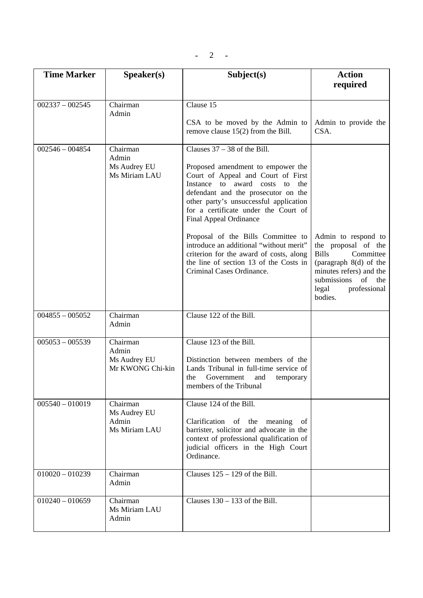| <b>Time Marker</b> | Speaker(s)                                            | Subject(s)                                                                                                                                                                                                                                                                                        | <b>Action</b><br>required                                                                                                                                                                   |
|--------------------|-------------------------------------------------------|---------------------------------------------------------------------------------------------------------------------------------------------------------------------------------------------------------------------------------------------------------------------------------------------------|---------------------------------------------------------------------------------------------------------------------------------------------------------------------------------------------|
|                    |                                                       |                                                                                                                                                                                                                                                                                                   |                                                                                                                                                                                             |
| $002337 - 002545$  | Chairman<br>Admin                                     | Clause 15<br>CSA to be moved by the Admin to<br>remove clause $15(2)$ from the Bill.                                                                                                                                                                                                              | Admin to provide the<br>CSA.                                                                                                                                                                |
| $002546 - 004854$  | Chairman<br>Admin<br>Ms Audrey EU<br>Ms Miriam LAU    | Clauses $37 - 38$ of the Bill.<br>Proposed amendment to empower the<br>Court of Appeal and Court of First<br>Instance to award costs to<br>the<br>defendant and the prosecutor on the<br>other party's unsuccessful application<br>for a certificate under the Court of<br>Final Appeal Ordinance |                                                                                                                                                                                             |
|                    |                                                       | Proposal of the Bills Committee to<br>introduce an additional "without merit"<br>criterion for the award of costs, along<br>the line of section 13 of the Costs in<br>Criminal Cases Ordinance.                                                                                                   | Admin to respond to<br>the proposal of the<br><b>Bills</b><br>Committee<br>(paragraph $8(d)$ of the<br>minutes refers) and the<br>of the<br>submissions<br>professional<br>legal<br>bodies. |
| $004855 - 005052$  | Chairman<br>Admin                                     | Clause 122 of the Bill.                                                                                                                                                                                                                                                                           |                                                                                                                                                                                             |
| $005053 - 005539$  | Chairman<br>Admin<br>Ms Audrey EU<br>Mr KWONG Chi-kin | Clause 123 of the Bill.<br>Distinction between members of the<br>Lands Tribunal in full-time service of<br>the<br>Government<br>and<br>temporary<br>members of the Tribunal                                                                                                                       |                                                                                                                                                                                             |
| $005540 - 010019$  | Chairman<br>Ms Audrey EU<br>Admin<br>Ms Miriam LAU    | Clause 124 of the Bill.<br>Clarification of the meaning<br>of<br>barrister, solicitor and advocate in the<br>context of professional qualification of<br>judicial officers in the High Court<br>Ordinance.                                                                                        |                                                                                                                                                                                             |
| $010020 - 010239$  | Chairman<br>Admin                                     | Clauses $125 - 129$ of the Bill.                                                                                                                                                                                                                                                                  |                                                                                                                                                                                             |
| $010240 - 010659$  | Chairman<br>Ms Miriam LAU<br>Admin                    | Clauses $130 - 133$ of the Bill.                                                                                                                                                                                                                                                                  |                                                                                                                                                                                             |